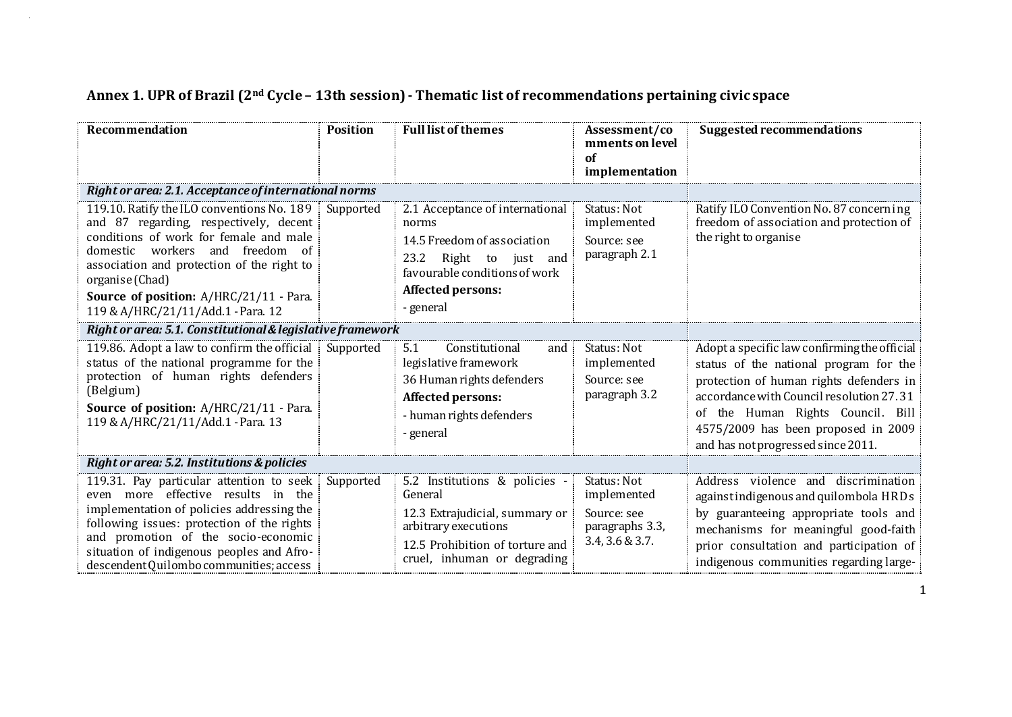| Recommendation                                                                                                                                                                                                                                                                                                                | <b>Position</b> | <b>Full list of themes</b><br>Assessment/co<br>mments on level<br>of<br>implementation                                                                                         |                                                                                 | <b>Suggested recommendations</b>                                                                                                                                                                                                                                                                |
|-------------------------------------------------------------------------------------------------------------------------------------------------------------------------------------------------------------------------------------------------------------------------------------------------------------------------------|-----------------|--------------------------------------------------------------------------------------------------------------------------------------------------------------------------------|---------------------------------------------------------------------------------|-------------------------------------------------------------------------------------------------------------------------------------------------------------------------------------------------------------------------------------------------------------------------------------------------|
| Right or area: 2.1. Acceptance of international norms                                                                                                                                                                                                                                                                         |                 |                                                                                                                                                                                |                                                                                 |                                                                                                                                                                                                                                                                                                 |
| 119.10. Ratify the ILO conventions No. 189 Supported<br>and 87 regarding, respectively, decent<br>conditions of work for female and male<br>domestic workers and freedom of<br>association and protection of the right to<br>organise (Chad)<br>Source of position: A/HRC/21/11 - Para.<br>119 & A/HRC/21/11/Add.1 - Para. 12 |                 | 2.1 Acceptance of international<br>norms<br>14.5 Freedom of association<br>23.2<br>Right to just and<br>favourable conditions of work<br><b>Affected persons:</b><br>- general | Status: Not<br>implemented<br>Source: see<br>paragraph 2.1                      | Ratify ILO Convention No. 87 concerning<br>freedom of association and protection of<br>the right to organise                                                                                                                                                                                    |
| Right or area: 5.1. Constitutional & legislative framework                                                                                                                                                                                                                                                                    |                 |                                                                                                                                                                                |                                                                                 |                                                                                                                                                                                                                                                                                                 |
| 119.86. Adopt a law to confirm the official Supported<br>status of the national programme for the<br>protection of human rights defenders<br>(Belgium)<br>Source of position: A/HRC/21/11 - Para.<br>119 & A/HRC/21/11/Add.1 - Para. 13                                                                                       |                 | 5.1<br>Constitutional<br>and<br>legislative framework<br>36 Human rights defenders<br>Affected persons:<br>- human rights defenders<br>general                                 | Status: Not<br>implemented<br>Source: see<br>paragraph 3.2                      | Adopt a specific law confirming the official<br>status of the national program for the<br>protection of human rights defenders in<br>accordance with Council resolution 27.31<br>of the Human Rights Council. Bill<br>4575/2009 has been proposed in 2009<br>and has not progressed since 2011. |
| Right or area: 5.2. Institutions & policies                                                                                                                                                                                                                                                                                   |                 |                                                                                                                                                                                |                                                                                 |                                                                                                                                                                                                                                                                                                 |
| 119.31. Pay particular attention to seek<br>even more effective results in the<br>implementation of policies addressing the<br>following issues: protection of the rights<br>and promotion of the socio-economic<br>situation of indigenous peoples and Afro-<br>descendent Quilombo communities; access                      | Supported       | 5.2 Institutions & policies -<br>General<br>12.3 Extrajudicial, summary or<br>arbitrary executions<br>12.5 Prohibition of torture and<br>cruel, inhuman or degrading           | Status: Not<br>implemented<br>Source: see<br>paragraphs 3.3,<br>3.4, 3.6 & 3.7. | Address violence and discrimination<br>against indigenous and quilombola HRDs<br>by guaranteeing appropriate tools and<br>mechanisms for meaningful good-faith<br>prior consultation and participation of<br>indigenous communities regarding large-                                            |

## **Annex 1. UPR of Brazil (2nd Cycle – 13th session) - Thematic list of recommendations pertaining civic space**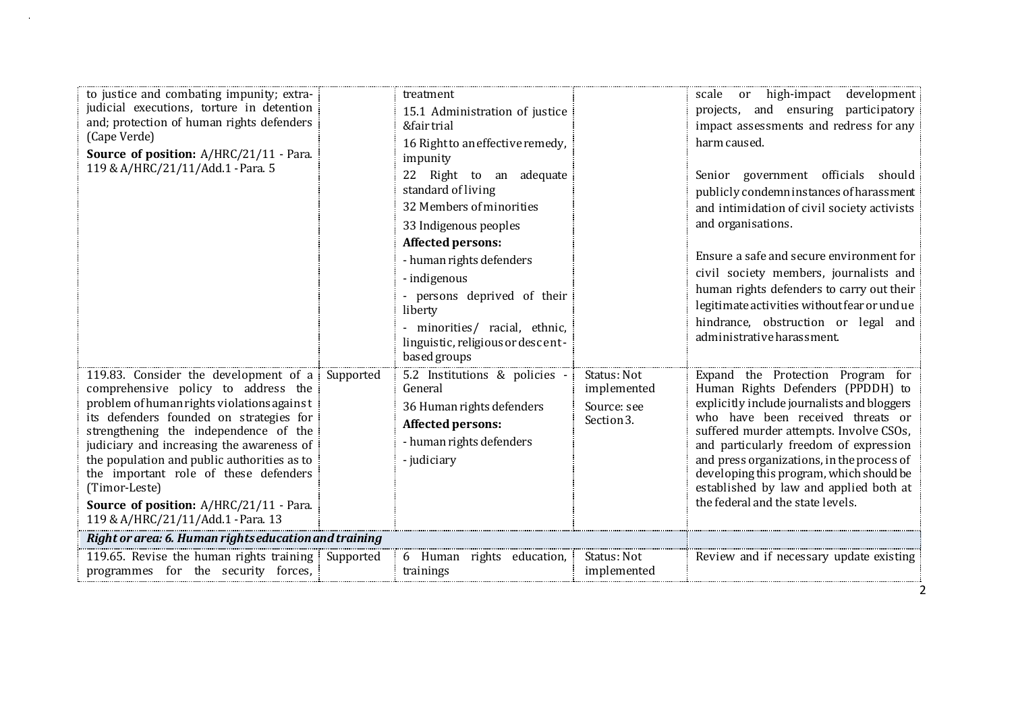| to justice and combating impunity; extra-<br>judicial executions, torture in detention<br>and; protection of human rights defenders<br>(Cape Verde)<br>Source of position: A/HRC/21/11 - Para.<br>119 & A/HRC/21/11/Add.1 - Para. 5                                                                                                                                                                                                                   |           | treatment<br>15.1 Administration of justice<br>&fair trial<br>16 Right to an effective remedy,<br>impunity<br>22 Right to an adequate<br>standard of living<br>32 Members of minorities<br>33 Indigenous peoples<br>Affected persons:<br>- human rights defenders<br>- indigenous<br>persons deprived of their<br>liberty<br>- minorities/ racial, ethnic,<br>linguistic, religious or descent-<br>based groups |                                                         | scale or high-impact development<br>projects, and ensuring participatory<br>impact assessments and redress for any<br>harm caused.<br>Senior government officials should<br>publicly condemn instances of harassment<br>and intimidation of civil society activists<br>and organisations.<br>Ensure a safe and secure environment for<br>civil society members, journalists and<br>human rights defenders to carry out their<br>legitimate activities without fear or undue<br>hindrance, obstruction or legal and<br>administrative harassment. |
|-------------------------------------------------------------------------------------------------------------------------------------------------------------------------------------------------------------------------------------------------------------------------------------------------------------------------------------------------------------------------------------------------------------------------------------------------------|-----------|-----------------------------------------------------------------------------------------------------------------------------------------------------------------------------------------------------------------------------------------------------------------------------------------------------------------------------------------------------------------------------------------------------------------|---------------------------------------------------------|--------------------------------------------------------------------------------------------------------------------------------------------------------------------------------------------------------------------------------------------------------------------------------------------------------------------------------------------------------------------------------------------------------------------------------------------------------------------------------------------------------------------------------------------------|
| 119.83. Consider the development of a<br>comprehensive policy to address the<br>problem of human rights violations against<br>its defenders founded on strategies for<br>strengthening the independence of the<br>judiciary and increasing the awareness of<br>the population and public authorities as to<br>the important role of these defenders<br>(Timor-Leste)<br>Source of position: A/HRC/21/11 - Para.<br>119 & A/HRC/21/11/Add.1 - Para. 13 | Supported | 5.2 Institutions & policies -<br>General<br>36 Human rights defenders<br>Affected persons:<br>- human rights defenders<br>- judiciary                                                                                                                                                                                                                                                                           | Status: Not<br>implemented<br>Source: see<br>Section 3. | Expand the Protection Program for<br>Human Rights Defenders (PPDDH) to<br>explicitly include journalists and bloggers<br>who have been received threats or<br>suffered murder attempts. Involve CSOs,<br>and particularly freedom of expression<br>and press organizations, in the process of<br>developing this program, which should be<br>established by law and applied both at<br>the federal and the state levels.                                                                                                                         |
| Right or area: 6. Human rights education and training                                                                                                                                                                                                                                                                                                                                                                                                 |           |                                                                                                                                                                                                                                                                                                                                                                                                                 |                                                         |                                                                                                                                                                                                                                                                                                                                                                                                                                                                                                                                                  |
| 119.65. Revise the human rights training Supported<br>programmes for the security forces,                                                                                                                                                                                                                                                                                                                                                             |           | 6 Human rights education,<br>trainings                                                                                                                                                                                                                                                                                                                                                                          | Status: Not<br>implemented                              | Review and if necessary update existing                                                                                                                                                                                                                                                                                                                                                                                                                                                                                                          |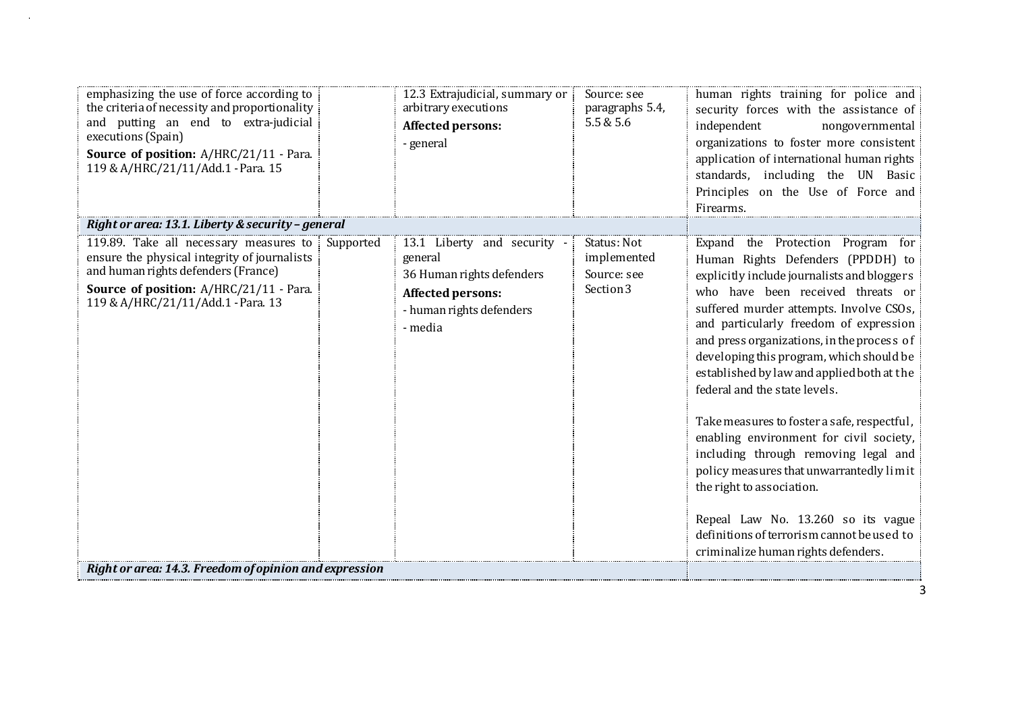| emphasizing the use of force according to<br>the criteria of necessity and proportionality<br>and putting an end to extra-judicial<br>executions (Spain)<br>Source of position: A/HRC/21/11 - Para.<br>119 & A/HRC/21/11/Add.1 - Para. 15 |           | 12.3 Extrajudicial, summary or<br>arbitrary executions<br>Affected persons:<br>- general                                        | Source: see<br>paragraphs 5.4,<br>5.5 & 5.6            | human rights training for police and<br>security forces with the assistance of<br>independent<br>nongovernmental<br>organizations to foster more consistent<br>application of international human rights<br>standards, including the UN Basic<br>Principles on the Use of Force and<br>Firearms.                                                                                                                                                                                                                                                                                                                                                                                                                                                               |
|-------------------------------------------------------------------------------------------------------------------------------------------------------------------------------------------------------------------------------------------|-----------|---------------------------------------------------------------------------------------------------------------------------------|--------------------------------------------------------|----------------------------------------------------------------------------------------------------------------------------------------------------------------------------------------------------------------------------------------------------------------------------------------------------------------------------------------------------------------------------------------------------------------------------------------------------------------------------------------------------------------------------------------------------------------------------------------------------------------------------------------------------------------------------------------------------------------------------------------------------------------|
| Right or area: 13.1. Liberty & security - general                                                                                                                                                                                         |           |                                                                                                                                 |                                                        |                                                                                                                                                                                                                                                                                                                                                                                                                                                                                                                                                                                                                                                                                                                                                                |
| 119.89. Take all necessary measures to<br>ensure the physical integrity of journalists<br>and human rights defenders (France)<br>Source of position: A/HRC/21/11 - Para.<br>119 & A/HRC/21/11/Add.1 - Para. 13                            | Supported | 13.1 Liberty and security -<br>general<br>36 Human rights defenders<br>Affected persons:<br>- human rights defenders<br>- media | Status: Not<br>implemented<br>Source: see<br>Section 3 | Expand the Protection Program for<br>Human Rights Defenders (PPDDH) to<br>explicitly include journalists and bloggers<br>who have been received threats or<br>suffered murder attempts. Involve CSOs,<br>and particularly freedom of expression<br>and press organizations, in the process of<br>developing this program, which should be<br>established by law and applied both at the<br>federal and the state levels.<br>Take measures to foster a safe, respectful,<br>enabling environment for civil society,<br>including through removing legal and<br>policy measures that unwarrantedly limit<br>the right to association.<br>Repeal Law No. 13.260 so its vague<br>definitions of terrorism cannot be used to<br>criminalize human rights defenders. |
| Right or area: 14.3. Freedom of opinion and expression                                                                                                                                                                                    |           |                                                                                                                                 |                                                        |                                                                                                                                                                                                                                                                                                                                                                                                                                                                                                                                                                                                                                                                                                                                                                |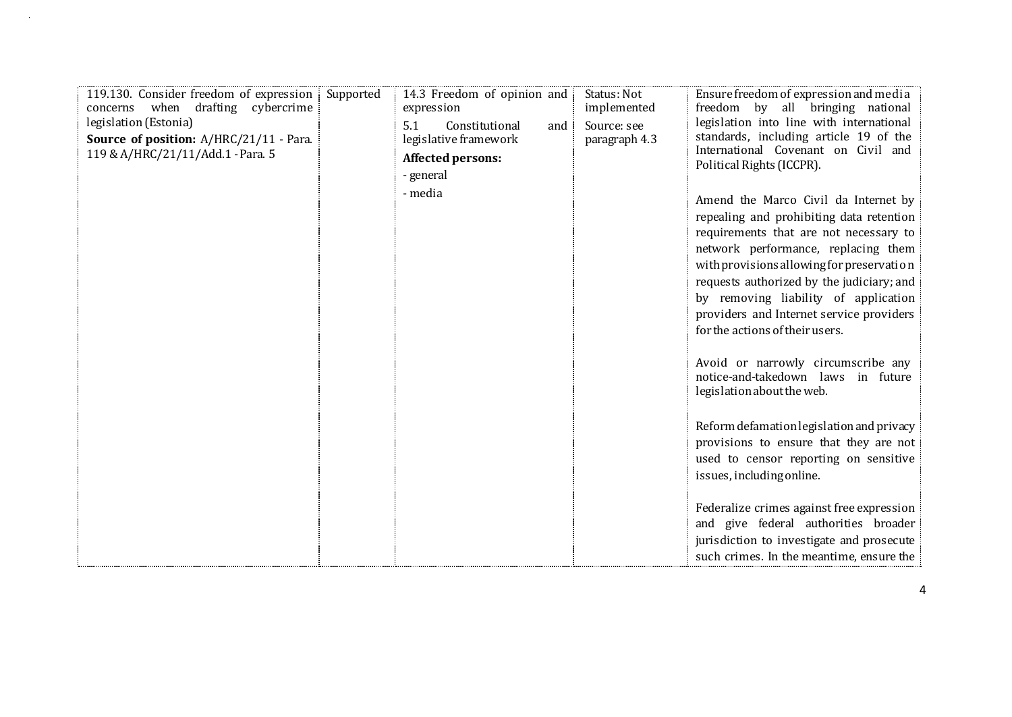| 119.130. Consider freedom of expression Supported<br>when drafting cybercrime<br>concerns<br>legislation (Estonia)<br>Source of position: A/HRC/21/11 - Para.<br>119 & A/HRC/21/11/Add.1 - Para. 5 | 14.3 Freedom of opinion and<br>expression<br>5.1<br>Constitutional<br>and<br>legislative framework<br>Affected persons:<br>- general<br>- media | Status: Not<br>implemented<br>Source: see<br>paragraph 4.3 | Ensure freedom of expression and media<br>freedom by all bringing national<br>legislation into line with international<br>standards, including article 19 of the<br>International Covenant on Civil and<br>Political Rights (ICCPR).<br>Amend the Marco Civil da Internet by<br>repealing and prohibiting data retention<br>requirements that are not necessary to<br>network performance, replacing them<br>with provisions allowing for preservation<br>requests authorized by the judiciary; and<br>by removing liability of application<br>providers and Internet service providers<br>for the actions of their users.<br>Avoid or narrowly circumscribe any<br>notice-and-takedown laws in future<br>legislation about the web.<br>Reform defamation legislation and privacy<br>provisions to ensure that they are not<br>used to censor reporting on sensitive<br>issues, including online.<br>Federalize crimes against free expression<br>and give federal authorities broader |
|----------------------------------------------------------------------------------------------------------------------------------------------------------------------------------------------------|-------------------------------------------------------------------------------------------------------------------------------------------------|------------------------------------------------------------|----------------------------------------------------------------------------------------------------------------------------------------------------------------------------------------------------------------------------------------------------------------------------------------------------------------------------------------------------------------------------------------------------------------------------------------------------------------------------------------------------------------------------------------------------------------------------------------------------------------------------------------------------------------------------------------------------------------------------------------------------------------------------------------------------------------------------------------------------------------------------------------------------------------------------------------------------------------------------------------|
|                                                                                                                                                                                                    |                                                                                                                                                 |                                                            | jurisdiction to investigate and prosecute<br>such crimes. In the meantime, ensure the                                                                                                                                                                                                                                                                                                                                                                                                                                                                                                                                                                                                                                                                                                                                                                                                                                                                                                  |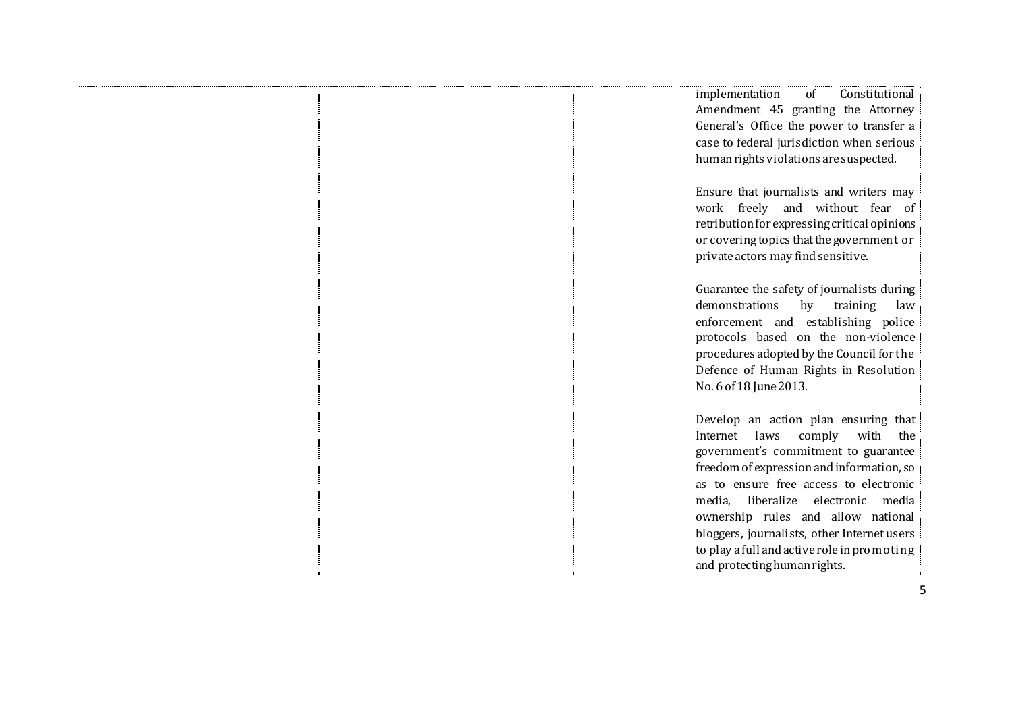|  |  | implementation<br>of<br>Constitutional<br>Amendment 45 granting the Attorney<br>General's Office the power to transfer a<br>case to federal jurisdiction when serious<br>human rights violations are suspected.                                                                                                                                                                                                   |
|--|--|-------------------------------------------------------------------------------------------------------------------------------------------------------------------------------------------------------------------------------------------------------------------------------------------------------------------------------------------------------------------------------------------------------------------|
|  |  | Ensure that journalists and writers may<br>work freely and without fear of<br>retribution for expressing critical opinions<br>or covering topics that the government or<br>private actors may find sensitive.                                                                                                                                                                                                     |
|  |  | Guarantee the safety of journalists during<br>demonstrations<br>by<br>training<br>law<br>enforcement and establishing police<br>protocols based on the non-violence<br>procedures adopted by the Council for the<br>Defence of Human Rights in Resolution<br>No. 6 of 18 June 2013.                                                                                                                               |
|  |  | Develop an action plan ensuring that<br>Internet laws<br>comply with the<br>government's commitment to guarantee<br>freedom of expression and information, so<br>as to ensure free access to electronic<br>media, liberalize electronic media<br>ownership rules and allow national<br>bloggers, journalists, other Internet users<br>to play a full and active role in promoting<br>and protecting human rights. |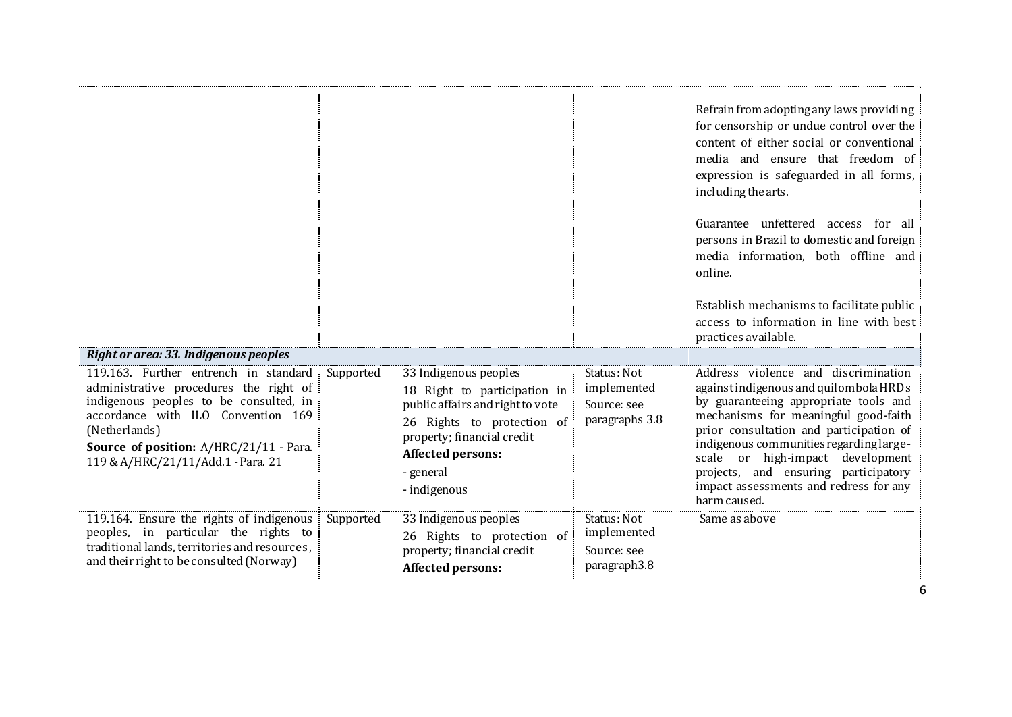|                                                                                                                                                                                                                          |           |                                                                                                                                                                                |                                                           | Refrain from adopting any laws providing<br>for censorship or undue control over the<br>content of either social or conventional<br>media and ensure that freedom of<br>expression is safeguarded in all forms,<br>including the arts.<br>Guarantee unfettered access for all<br>persons in Brazil to domestic and foreign<br>media information, both offline and<br>online.<br>Establish mechanisms to facilitate public<br>access to information in line with best<br>practices available. |
|--------------------------------------------------------------------------------------------------------------------------------------------------------------------------------------------------------------------------|-----------|--------------------------------------------------------------------------------------------------------------------------------------------------------------------------------|-----------------------------------------------------------|----------------------------------------------------------------------------------------------------------------------------------------------------------------------------------------------------------------------------------------------------------------------------------------------------------------------------------------------------------------------------------------------------------------------------------------------------------------------------------------------|
| Right or area: 33. Indigenous peoples<br>119.163. Further entrench in standard                                                                                                                                           | Supported | 33 Indigenous peoples                                                                                                                                                          | Status: Not                                               | Address violence and discrimination                                                                                                                                                                                                                                                                                                                                                                                                                                                          |
| administrative procedures the right of<br>indigenous peoples to be consulted, in<br>accordance with ILO Convention 169<br>(Netherlands)<br>Source of position: A/HRC/21/11 - Para.<br>119 & A/HRC/21/11/Add.1 - Para. 21 |           | 18 Right to participation in<br>public affairs and right to vote<br>26 Rights to protection of<br>property; financial credit<br>Affected persons:<br>- general<br>- indigenous | implemented<br>Source: see<br>paragraphs 3.8              | against indigenous and quilombola HRDs<br>by guaranteeing appropriate tools and<br>mechanisms for meaningful good-faith<br>prior consultation and participation of<br>indigenous communities regarding large-<br>scale or high-impact<br>development<br>projects, and ensuring participatory<br>impact assessments and redress for any<br>harm caused.                                                                                                                                       |
| 119.164. Ensure the rights of indigenous<br>peoples, in particular the rights to<br>traditional lands, territories and resources,<br>and their right to be consulted (Norway)                                            | Supported | 33 Indigenous peoples<br>26 Rights to protection of<br>property; financial credit<br>Affected persons:                                                                         | Status: Not<br>implemented<br>Source: see<br>paragraph3.8 | Same as above                                                                                                                                                                                                                                                                                                                                                                                                                                                                                |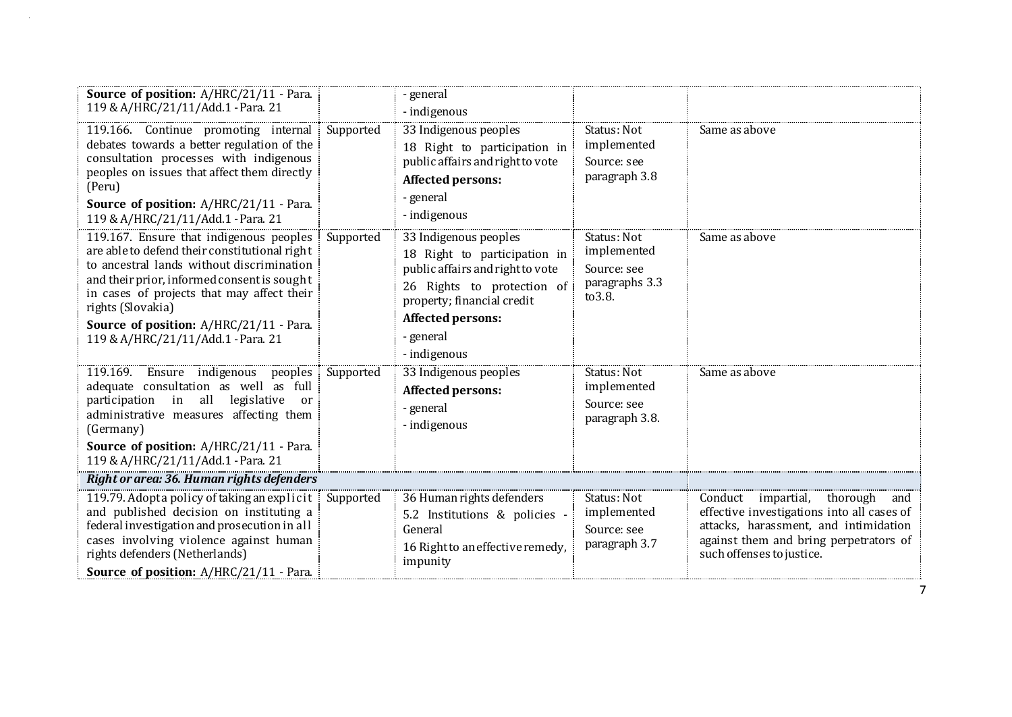| Source of position: A/HRC/21/11 - Para.<br>119 & A/HRC/21/11/Add.1 - Para. 21                                                                                                                                                                                                                                                                   |           | - general<br>- indigenous                                                                                                                                                                               |                                                                        |                                                                                                                                                                                                        |
|-------------------------------------------------------------------------------------------------------------------------------------------------------------------------------------------------------------------------------------------------------------------------------------------------------------------------------------------------|-----------|---------------------------------------------------------------------------------------------------------------------------------------------------------------------------------------------------------|------------------------------------------------------------------------|--------------------------------------------------------------------------------------------------------------------------------------------------------------------------------------------------------|
| 119.166. Continue promoting internal<br>debates towards a better regulation of the<br>consultation processes with indigenous<br>peoples on issues that affect them directly<br>(Peru)<br>Source of position: A/HRC/21/11 - Para.<br>119 & A/HRC/21/11/Add.1 - Para. 21                                                                          | Supported | 33 Indigenous peoples<br>18 Right to participation in<br>public affairs and right to vote<br><b>Affected persons:</b><br>- general<br>- indigenous                                                      | Status: Not<br>implemented<br>Source: see<br>paragraph 3.8             | Same as above                                                                                                                                                                                          |
| 119.167. Ensure that indigenous peoples<br>are able to defend their constitutional right<br>to ancestral lands without discrimination<br>and their prior, informed consent is sought<br>in cases of projects that may affect their<br>rights (Slovakia)<br><b>Source of position: A/HRC/21/11 - Para.</b><br>119 & A/HRC/21/11/Add.1 - Para. 21 | Supported | 33 Indigenous peoples<br>18 Right to participation in<br>public affairs and right to vote<br>26 Rights to protection of<br>property; financial credit<br>Affected persons:<br>- general<br>- indigenous | Status: Not<br>implemented<br>Source: see<br>paragraphs 3.3<br>to 3.8. | Same as above                                                                                                                                                                                          |
| 119.169.<br>Ensure indigenous peoples<br>adequate consultation as well as full<br>participation in all legislative<br><sub>or</sub><br>administrative measures affecting them<br>(Germany)<br>Source of position: A/HRC/21/11 - Para.<br>119 & A/HRC/21/11/Add.1 - Para. 21                                                                     | Supported | 33 Indigenous peoples<br>Affected persons:<br>- general<br>- indigenous                                                                                                                                 | Status: Not<br>implemented<br>Source: see<br>paragraph 3.8.            | Same as above                                                                                                                                                                                          |
| Right or area: 36. Human rights defenders                                                                                                                                                                                                                                                                                                       |           |                                                                                                                                                                                                         |                                                                        |                                                                                                                                                                                                        |
| 119.79. Adopt a policy of taking an explicit Supported<br>and published decision on instituting a<br>federal investigation and prosecution in all<br>cases involving violence against human<br>rights defenders (Netherlands)<br>Source of position: A/HRC/21/11 - Para.                                                                        |           | 36 Human rights defenders<br>5.2 Institutions & policies -<br>General<br>16 Right to an effective remedy,<br>impunity                                                                                   | Status: Not<br>implemented<br>Source: see<br>paragraph 3.7             | Conduct<br>impartial,<br>thorough<br>and<br>effective investigations into all cases of<br>attacks, harassment, and intimidation<br>against them and bring perpetrators of<br>such offenses to justice. |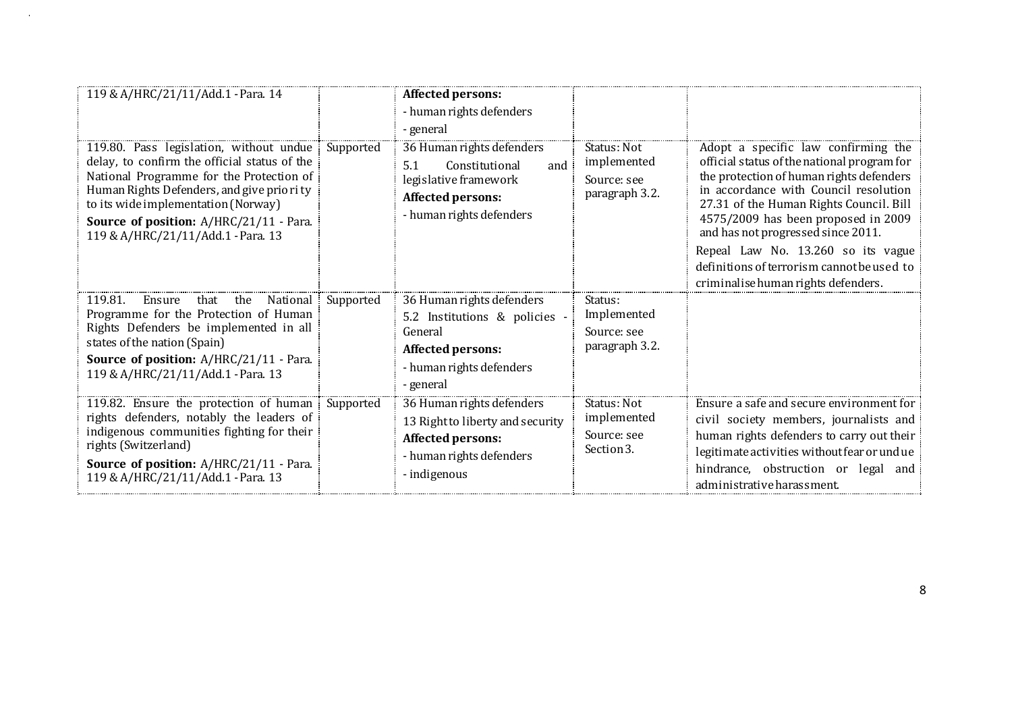| 119 & A/HRC/21/11/Add.1 - Para. 14                                                                                                                                                                                                                                                                       |           | Affected persons:<br>- human rights defenders<br>- general                                                                            |                                                             |                                                                                                                                                                                                                                                                                                                                                                                                                            |
|----------------------------------------------------------------------------------------------------------------------------------------------------------------------------------------------------------------------------------------------------------------------------------------------------------|-----------|---------------------------------------------------------------------------------------------------------------------------------------|-------------------------------------------------------------|----------------------------------------------------------------------------------------------------------------------------------------------------------------------------------------------------------------------------------------------------------------------------------------------------------------------------------------------------------------------------------------------------------------------------|
| 119.80. Pass legislation, without undue<br>delay, to confirm the official status of the<br>National Programme for the Protection of<br>Human Rights Defenders, and give priority<br>to its wide implementation (Norway)<br>Source of position: A/HRC/21/11 - Para.<br>119 & A/HRC/21/11/Add.1 - Para. 13 | Supported | 36 Human rights defenders<br>5.1<br>Constitutional<br>and<br>legislative framework<br>Affected persons:<br>- human rights defenders   | Status: Not<br>implemented<br>Source: see<br>paragraph 3.2. | Adopt a specific law confirming the<br>official status of the national program for<br>the protection of human rights defenders<br>in accordance with Council resolution<br>27.31 of the Human Rights Council. Bill<br>4575/2009 has been proposed in 2009<br>and has not progressed since 2011.<br>Repeal Law No. 13.260 so its vague<br>definitions of terrorism cannot be used to<br>criminalise human rights defenders. |
| 119.81.<br>that<br>the<br>National<br>Ensure<br>Programme for the Protection of Human<br>Rights Defenders be implemented in all<br>states of the nation (Spain)<br>Source of position: A/HRC/21/11 - Para.<br>119 & A/HRC/21/11/Add.1 - Para. 13                                                         | Supported | 36 Human rights defenders<br>5.2 Institutions & policies -<br>General<br>Affected persons:<br>- human rights defenders<br>- general   | Status:<br>Implemented<br>Source: see<br>paragraph 3.2.     |                                                                                                                                                                                                                                                                                                                                                                                                                            |
| 119.82. Ensure the protection of human<br>rights defenders, notably the leaders of<br>indigenous communities fighting for their<br>rights (Switzerland)<br>Source of position: A/HRC/21/11 - Para.<br>119 & A/HRC/21/11/Add.1 - Para. 13                                                                 | Supported | 36 Human rights defenders<br>13 Right to liberty and security<br><b>Affected persons:</b><br>- human rights defenders<br>- indigenous | Status: Not<br>implemented<br>Source: see<br>Section 3.     | Ensure a safe and secure environment for<br>civil society members, journalists and<br>human rights defenders to carry out their<br>legitimate activities without fear or undue<br>hindrance, obstruction or legal<br>and<br>administrative harassment.                                                                                                                                                                     |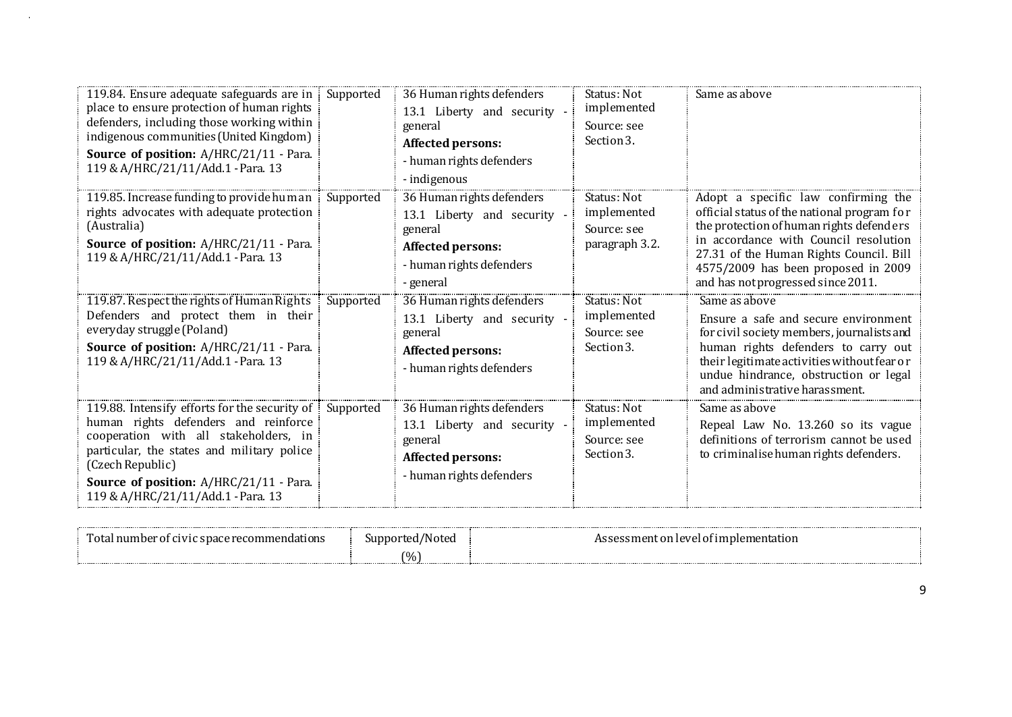| 119.84. Ensure adequate safeguards are in<br>place to ensure protection of human rights<br>defenders, including those working within<br>indigenous communities (United Kingdom)<br>Source of position: A/HRC/21/11 - Para.<br>119 & A/HRC/21/11/Add.1 - Para. 13                  | Supported | 36 Human rights defenders<br>13.1 Liberty and security -<br>general<br>Affected persons:<br>- human rights defenders<br>- indigenous | Status: Not<br>implemented<br>Source: see<br>Section 3.     | Same as above                                                                                                                                                                                                                                                                                   |
|-----------------------------------------------------------------------------------------------------------------------------------------------------------------------------------------------------------------------------------------------------------------------------------|-----------|--------------------------------------------------------------------------------------------------------------------------------------|-------------------------------------------------------------|-------------------------------------------------------------------------------------------------------------------------------------------------------------------------------------------------------------------------------------------------------------------------------------------------|
| 119.85. Increase funding to provide human<br>rights advocates with adequate protection<br>(Australia)<br><b>Source of position:</b> A/HRC/21/11 - Para.<br>119 & A/HRC/21/11/Add.1 - Para. 13                                                                                     | Supported | 36 Human rights defenders<br>13.1 Liberty and security -<br>general<br>Affected persons:<br>- human rights defenders<br>- general    | Status: Not<br>implemented<br>Source: see<br>paragraph 3.2. | Adopt a specific law confirming the<br>official status of the national program for<br>the protection of human rights defenders<br>in accordance with Council resolution<br>27.31 of the Human Rights Council. Bill<br>4575/2009 has been proposed in 2009<br>and has not progressed since 2011. |
| 119.87. Respect the rights of Human Rights<br>Defenders and protect them in their<br>everyday struggle (Poland)<br>Source of position: A/HRC/21/11 - Para.<br>119 & A/HRC/21/11/Add.1 - Para. 13                                                                                  | Supported | 36 Human rights defenders<br>13.1 Liberty and security -<br>general<br>Affected persons:<br>- human rights defenders                 | Status: Not<br>implemented<br>Source: see<br>Section 3.     | Same as above<br>Ensure a safe and secure environment<br>for civil society members, journalists and<br>human rights defenders to carry out<br>their legitimate activities without fear or<br>undue hindrance, obstruction or legal<br>and administrative harassment.                            |
| 119.88. Intensify efforts for the security of<br>human rights defenders and reinforce<br>cooperation with all stakeholders, in<br>particular, the states and military police<br>(Czech Republic)<br>Source of position: A/HRC/21/11 - Para.<br>119 & A/HRC/21/11/Add.1 - Para. 13 | Supported | 36 Human rights defenders<br>13.1 Liberty and security -<br>general<br>Affected persons:<br>- human rights defenders                 | Status: Not<br>implemented<br>Source: see<br>Section 3.     | Same as above<br>Repeal Law No. 13.260 so its vague<br>definitions of terrorism cannot be used<br>to criminalise human rights defenders.                                                                                                                                                        |

| ы                | unn<br>Toted | <br>ntation.<br>- מזבי |  |
|------------------|--------------|------------------------|--|
| ---------------- | (0/6)        |                        |  |